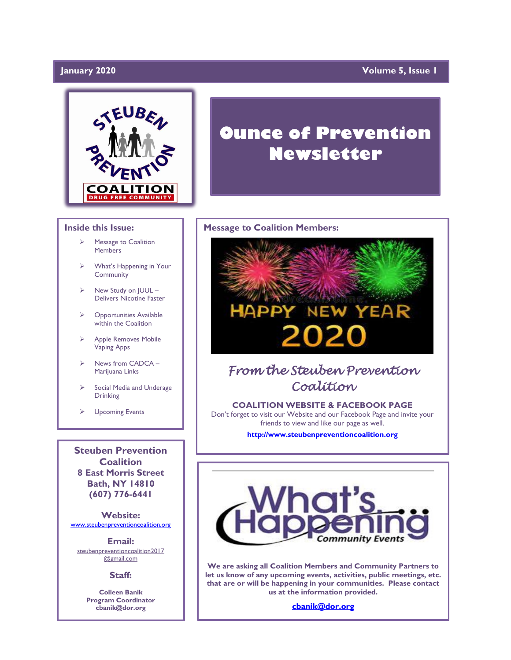### January 2020

### **Volume 5, Issue 1**



### **Inside this Issue:**

- ➢ Message to Coalition **Members**
- What's Happening in Your **Community**
- $\triangleright$  New Study on  $|UUL -$ Delivers Nicotine Faster
- ➢ Opportunities Available within the Coalition
- ➢ Apple Removes Mobile Vaping Apps
- ➢ News from CADCA Marijuana Links
- Social Media and Underage Drinking
- ➢ Upcoming Events

**Steuben Prevention Coalition 8 East Morris Street Bath, NY 14810 (607) 776-6441**

**Website:**  [www.steubenpreventioncoalition.org](http://www.steubenpreventioncoalition.org/)

**Email:**  steubenpreventioncoalition2017 @gmail.com

### **Staff:**

**Colleen Banik Program Coordinator cbanik@dor.org**

# **Ounce of Prevention Newsletter**

### **Message to Coalition Members:**



# *From the Steuben Prevention Coalition*

**COALITION WEBSITE & FACEBOOK PAGE** Don't forget to visit our Website and our Facebook Page and invite your friends to view and like our page as well.

**[http://www.steubenpreventioncoalition.org](http://www.steubenpreventioncoalition.org/)**



**We are asking all Coalition Members and Community Partners to let us know of any upcoming events, activities, public meetings, etc. that are or will be happening in your communities. Please contact us at the information provided.**

**[cbanik@dor.org](mailto:cbanik@dor.org)**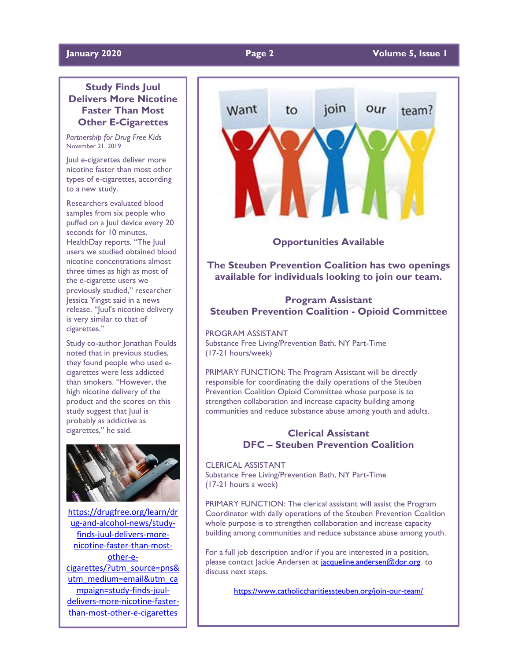### **Study Finds Juul Delivers More Nicotine Faster Than Most Other E-Cigarettes**

*Partnership for Drug Free Kids* November 21, 2019

Juul e-cigarettes deliver more nicotine faster than most other types of e-cigarettes, according to a new study.

Researchers evaluated blood samples from six people who puffed on a Juul device every 20 seconds for 10 minutes, HealthDay reports. "The Juul users we studied obtained blood nicotine concentrations almost three times as high as most of the e-cigarette users we previously studied," researcher Jessica Yingst said in a news release. "Juul's nicotine delivery is very similar to that of cigarettes."

Study co-author Jonathan Foulds noted that in previous studies, they found people who used ecigarettes were less addicted than smokers. "However, the high nicotine delivery of the product and the scores on this study suggest that Juul is probably as addictive as cigarettes," he said.



[https://drugfree.org/learn/dr](https://drugfree.org/learn/drug-and-alcohol-news/study-finds-juul-delivers-more-nicotine-faster-than-most-other-e-cigarettes/?utm_source=pns&utm_medium=email&utm_campaign=study-finds-juul-delivers-more-nicotine-faster-than-most-other-e-cigarettes) [ug-and-alcohol-news/study](https://drugfree.org/learn/drug-and-alcohol-news/study-finds-juul-delivers-more-nicotine-faster-than-most-other-e-cigarettes/?utm_source=pns&utm_medium=email&utm_campaign=study-finds-juul-delivers-more-nicotine-faster-than-most-other-e-cigarettes)[finds-juul-delivers-more](https://drugfree.org/learn/drug-and-alcohol-news/study-finds-juul-delivers-more-nicotine-faster-than-most-other-e-cigarettes/?utm_source=pns&utm_medium=email&utm_campaign=study-finds-juul-delivers-more-nicotine-faster-than-most-other-e-cigarettes)[nicotine-faster-than-most](https://drugfree.org/learn/drug-and-alcohol-news/study-finds-juul-delivers-more-nicotine-faster-than-most-other-e-cigarettes/?utm_source=pns&utm_medium=email&utm_campaign=study-finds-juul-delivers-more-nicotine-faster-than-most-other-e-cigarettes)[other-e](https://drugfree.org/learn/drug-and-alcohol-news/study-finds-juul-delivers-more-nicotine-faster-than-most-other-e-cigarettes/?utm_source=pns&utm_medium=email&utm_campaign=study-finds-juul-delivers-more-nicotine-faster-than-most-other-e-cigarettes)[cigarettes/?utm\\_source=pns&](https://drugfree.org/learn/drug-and-alcohol-news/study-finds-juul-delivers-more-nicotine-faster-than-most-other-e-cigarettes/?utm_source=pns&utm_medium=email&utm_campaign=study-finds-juul-delivers-more-nicotine-faster-than-most-other-e-cigarettes) [utm\\_medium=email&utm\\_ca](https://drugfree.org/learn/drug-and-alcohol-news/study-finds-juul-delivers-more-nicotine-faster-than-most-other-e-cigarettes/?utm_source=pns&utm_medium=email&utm_campaign=study-finds-juul-delivers-more-nicotine-faster-than-most-other-e-cigarettes) [mpaign=study-finds-juul](https://drugfree.org/learn/drug-and-alcohol-news/study-finds-juul-delivers-more-nicotine-faster-than-most-other-e-cigarettes/?utm_source=pns&utm_medium=email&utm_campaign=study-finds-juul-delivers-more-nicotine-faster-than-most-other-e-cigarettes)[delivers-more-nicotine-faster](https://drugfree.org/learn/drug-and-alcohol-news/study-finds-juul-delivers-more-nicotine-faster-than-most-other-e-cigarettes/?utm_source=pns&utm_medium=email&utm_campaign=study-finds-juul-delivers-more-nicotine-faster-than-most-other-e-cigarettes)[than-most-other-e-cigarettes](https://drugfree.org/learn/drug-and-alcohol-news/study-finds-juul-delivers-more-nicotine-faster-than-most-other-e-cigarettes/?utm_source=pns&utm_medium=email&utm_campaign=study-finds-juul-delivers-more-nicotine-faster-than-most-other-e-cigarettes)



**Opportunities Available**

**The Steuben Prevention Coalition has two openings available for individuals looking to join our team.**

### **Program Assistant Steuben Prevention Coalition - Opioid Committee**

PROGRAM ASSISTANT Substance Free Living/Prevention Bath, NY Part-Time (17-21 hours/week)

PRIMARY FUNCTION: The Program Assistant will be directly responsible for coordinating the daily operations of the Steuben Prevention Coalition Opioid Committee whose purpose is to strengthen collaboration and increase capacity building among communities and reduce substance abuse among youth and adults.

### **Clerical Assistant DFC – Steuben Prevention Coalition**

CLERICAL ASSISTANT Substance Free Living/Prevention Bath, NY Part-Time (17-21 hours a week)

PRIMARY FUNCTION: The clerical assistant will assist the Program Coordinator with daily operations of the Steuben Prevention Coalition whole purpose is to strengthen collaboration and increase capacity building among communities and reduce substance abuse among youth.

For a full job description and/or if you are interested in a position, please contact lackie Andersen at [jacqueline.andersen@dor.org](mailto:jacqueline.andersen@dor.org) to discuss next steps.

<https://www.catholiccharitiessteuben.org/join-our-team/>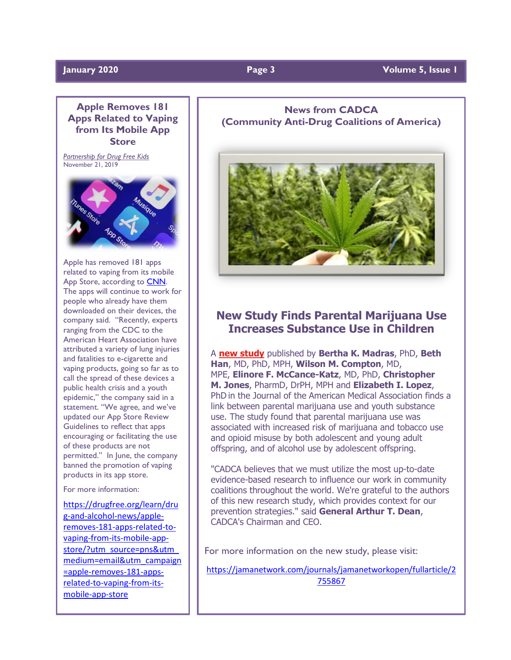### **Apple Removes 181 Apps Related to Vaping from Its Mobile App Store**

*Partnership for Drug Free Kids* November 21, 2019



Apple has removed 181 apps related to vaping from its mobile App Store, according to [CNN.](https://www-m.cnn.com/2019/11/15/health/apple-vaping-apps-bn/index.html?r=https%3A%2F%2Fwww.cnn.com%2Fhealth) The apps will continue to work for people who already have them downloaded on their devices, the company said. "Recently, experts ranging from the CDC to the American Heart Association have attributed a variety of lung injuries and fatalities to e-cigarette and vaping products, going so far as to call the spread of these devices a public health crisis and a youth epidemic," the company said in a statement. "We agree, and we've updated our App Store Review Guidelines to reflect that apps encouraging or facilitating the use of these products are not permitted." In June, the company banned the promotion of vaping products in its app store.

For more information:

[https://drugfree.org/learn/dru](https://drugfree.org/learn/drug-and-alcohol-news/apple-removes-181-apps-related-to-vaping-from-its-mobile-app-store/?utm_source=pns&utm_medium=email&utm_campaign=apple-removes-181-apps-related-to-vaping-from-its-mobile-app-store) [g-and-alcohol-news/apple](https://drugfree.org/learn/drug-and-alcohol-news/apple-removes-181-apps-related-to-vaping-from-its-mobile-app-store/?utm_source=pns&utm_medium=email&utm_campaign=apple-removes-181-apps-related-to-vaping-from-its-mobile-app-store)[removes-181-apps-related-to](https://drugfree.org/learn/drug-and-alcohol-news/apple-removes-181-apps-related-to-vaping-from-its-mobile-app-store/?utm_source=pns&utm_medium=email&utm_campaign=apple-removes-181-apps-related-to-vaping-from-its-mobile-app-store)[vaping-from-its-mobile-app](https://drugfree.org/learn/drug-and-alcohol-news/apple-removes-181-apps-related-to-vaping-from-its-mobile-app-store/?utm_source=pns&utm_medium=email&utm_campaign=apple-removes-181-apps-related-to-vaping-from-its-mobile-app-store)[store/?utm\\_source=pns&utm\\_](https://drugfree.org/learn/drug-and-alcohol-news/apple-removes-181-apps-related-to-vaping-from-its-mobile-app-store/?utm_source=pns&utm_medium=email&utm_campaign=apple-removes-181-apps-related-to-vaping-from-its-mobile-app-store) [medium=email&utm\\_campaign](https://drugfree.org/learn/drug-and-alcohol-news/apple-removes-181-apps-related-to-vaping-from-its-mobile-app-store/?utm_source=pns&utm_medium=email&utm_campaign=apple-removes-181-apps-related-to-vaping-from-its-mobile-app-store) [=apple-removes-181-apps](https://drugfree.org/learn/drug-and-alcohol-news/apple-removes-181-apps-related-to-vaping-from-its-mobile-app-store/?utm_source=pns&utm_medium=email&utm_campaign=apple-removes-181-apps-related-to-vaping-from-its-mobile-app-store)[related-to-vaping-from-its](https://drugfree.org/learn/drug-and-alcohol-news/apple-removes-181-apps-related-to-vaping-from-its-mobile-app-store/?utm_source=pns&utm_medium=email&utm_campaign=apple-removes-181-apps-related-to-vaping-from-its-mobile-app-store)[mobile-app-store](https://drugfree.org/learn/drug-and-alcohol-news/apple-removes-181-apps-related-to-vaping-from-its-mobile-app-store/?utm_source=pns&utm_medium=email&utm_campaign=apple-removes-181-apps-related-to-vaping-from-its-mobile-app-store)

### **News from CADCA (Community Anti-Drug Coalitions of America)**



## **New Study Finds Parental Marijuana Use Increases Substance Use in Children**

A **new [study](http://www.mmsend36.com/link.cfm?r=PXFTCIKIY6A9M76tnE-tWQ~~&pe=rVQ1pR9yMx7cQAtdST2DLID3Tt1K0hRGfIKbWqeCIKh3Y0AUgkjkq_iYY3onbdDLWYgFElXH23eXhE4Hd2hhwg~~&t=N36Cd9UjHiApoasoN9sC3g~~)** published by **Bertha K. Madras**, PhD, **Beth Han**, MD, PhD, MPH, **Wilson M. Compton**, MD, MPE, **Elinore F. McCance-Katz**, MD, PhD, **Christopher M. Jones**, PharmD, DrPH, MPH and **Elizabeth I. Lopez**, PhD in the Journal of the American Medical Association finds a link between parental marijuana use and youth substance use. The study found that parental marijuana use was associated with increased risk of marijuana and tobacco use and opioid misuse by both adolescent and young adult offspring, and of alcohol use by adolescent offspring.

"CADCA believes that we must utilize the most up-to-date evidence-based research to influence our work in community coalitions throughout the world. We're grateful to the authors of this new research study, which provides context for our prevention strategies." said **General Arthur T. Dean**, CADCA's Chairman and CEO.

For more information on the new study, please visit:

[https://jamanetwork.com/journals/jamanetworkopen/fullarticle/2](https://jamanetwork.com/journals/jamanetworkopen/fullarticle/2755867) [755867](https://jamanetwork.com/journals/jamanetworkopen/fullarticle/2755867)